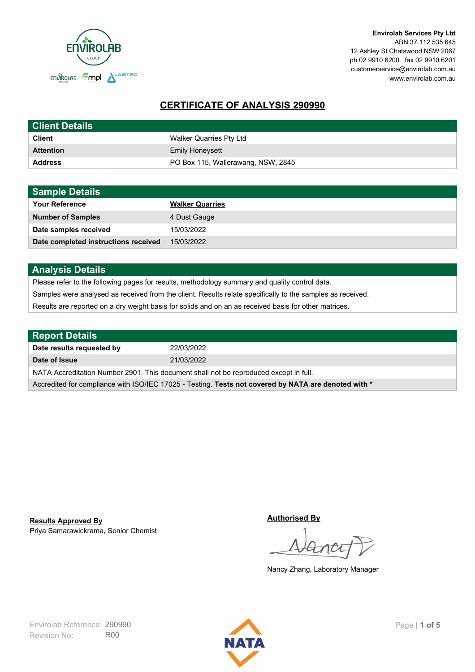

**Envirolab Services Pty Ltd** ABN 37 112 535 645 12 Ashley St Chatswood NSW 2067 ph 02 9910 6200 fax 02 9910 6201 customerservice@envirolab.com.au www.envirolab.com.au

# **CERTIFICATE OF ANALYSIS 290990**

| <b>Client Details</b> |                                    |
|-----------------------|------------------------------------|
| <b>Client</b>         | Walker Quarries Pty Ltd            |
| <b>Attention</b>      | <b>Emily Honeysett</b>             |
| <b>Address</b>        | PO Box 115, Wallerawang, NSW, 2845 |

| <b>Sample Details</b>                |                        |
|--------------------------------------|------------------------|
| <b>Your Reference</b>                | <b>Walker Quarries</b> |
| <b>Number of Samples</b>             | 4 Dust Gauge           |
| Date samples received                | 15/03/2022             |
| Date completed instructions received | 15/03/2022             |

## **Analysis Details**

Please refer to the following pages for results, methodology summary and quality control data.

Samples were analysed as received from the client. Results relate specifically to the samples as received.

Results are reported on a dry weight basis for solids and on an as received basis for other matrices.

| <b>Report Details</b>                                                                                |            |  |
|------------------------------------------------------------------------------------------------------|------------|--|
| Date results requested by                                                                            | 22/03/2022 |  |
| Date of Issue                                                                                        | 21/03/2022 |  |
| NATA Accreditation Number 2901. This document shall not be reproduced except in full.                |            |  |
| Accredited for compliance with ISO/IEC 17025 - Testing. Tests not covered by NATA are denoted with * |            |  |

Priya Samarawickrama, Senior Chemist **Results Approved By**

**Authorised By**

Nancy Zhang, Laboratory Manager

Revision No: R00 Envirolab Reference: 290990 **Page | 1 of 5** 

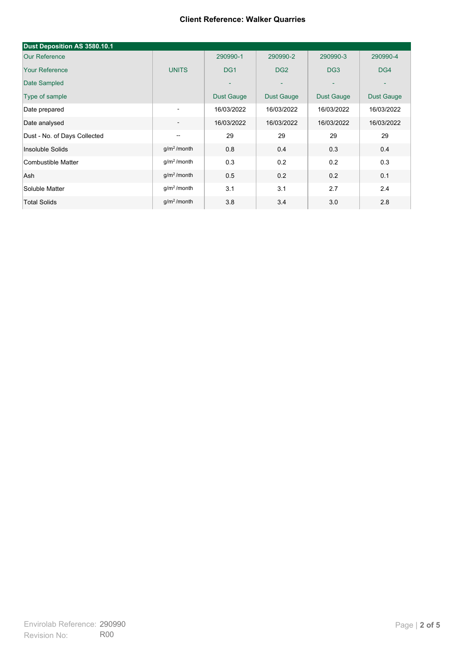| Dust Deposition AS 3580.10.1 |                          |                   |                 |                 |                   |
|------------------------------|--------------------------|-------------------|-----------------|-----------------|-------------------|
| <b>Our Reference</b>         |                          | 290990-1          | 290990-2        | 290990-3        | 290990-4          |
| <b>Your Reference</b>        | <b>UNITS</b>             | DG <sub>1</sub>   | DG <sub>2</sub> | DG <sub>3</sub> | DG4               |
| Date Sampled                 |                          | $\overline{a}$    | ۰               | ۰               |                   |
| Type of sample               |                          | <b>Dust Gauge</b> | Dust Gauge      | Dust Gauge      | <b>Dust Gauge</b> |
| Date prepared                | ٠                        | 16/03/2022        | 16/03/2022      | 16/03/2022      | 16/03/2022        |
| Date analysed                | $\overline{\phantom{a}}$ | 16/03/2022        | 16/03/2022      | 16/03/2022      | 16/03/2022        |
| Dust - No. of Days Collected | $\overline{\phantom{a}}$ | 29                | 29              | 29              | 29                |
| Insoluble Solids             | g/m <sup>2</sup> /month  | 0.8               | 0.4             | 0.3             | 0.4               |
| Combustible Matter           | $g/m2$ /month            | 0.3               | 0.2             | 0.2             | 0.3               |
| Ash                          | g/m <sup>2</sup> /month  | 0.5               | 0.2             | 0.2             | 0.1               |
| Soluble Matter               | g/m <sup>2</sup> /month  | 3.1               | 3.1             | 2.7             | 2.4               |
| <b>Total Solids</b>          | $q/m^2$ /month           | 3.8               | 3.4             | 3.0             | 2.8               |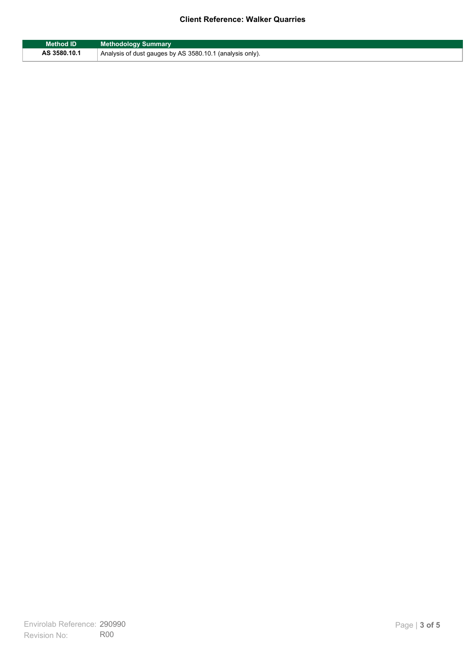| <b>Method ID</b> | <b>Methodology Summary</b>                               |
|------------------|----------------------------------------------------------|
| AS 3580.10.1     | Analysis of dust gauges by AS 3580.10.1 (analysis only). |

F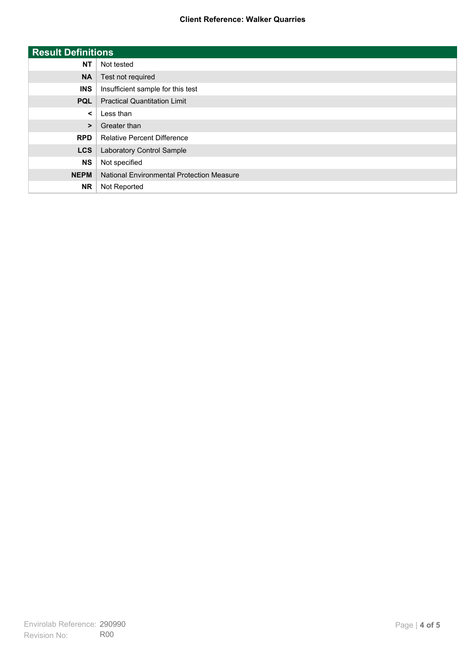| <b>Result Definitions</b> |                                           |
|---------------------------|-------------------------------------------|
| <b>NT</b>                 | Not tested                                |
| <b>NA</b>                 | Test not required                         |
| <b>INS</b>                | Insufficient sample for this test         |
| <b>PQL</b>                | <b>Practical Quantitation Limit</b>       |
| $\prec$                   | Less than                                 |
| $\geq$                    | Greater than                              |
| <b>RPD</b>                | <b>Relative Percent Difference</b>        |
| <b>LCS</b>                | Laboratory Control Sample                 |
| <b>NS</b>                 | Not specified                             |
| <b>NEPM</b>               | National Environmental Protection Measure |
| <b>NR</b>                 | Not Reported                              |